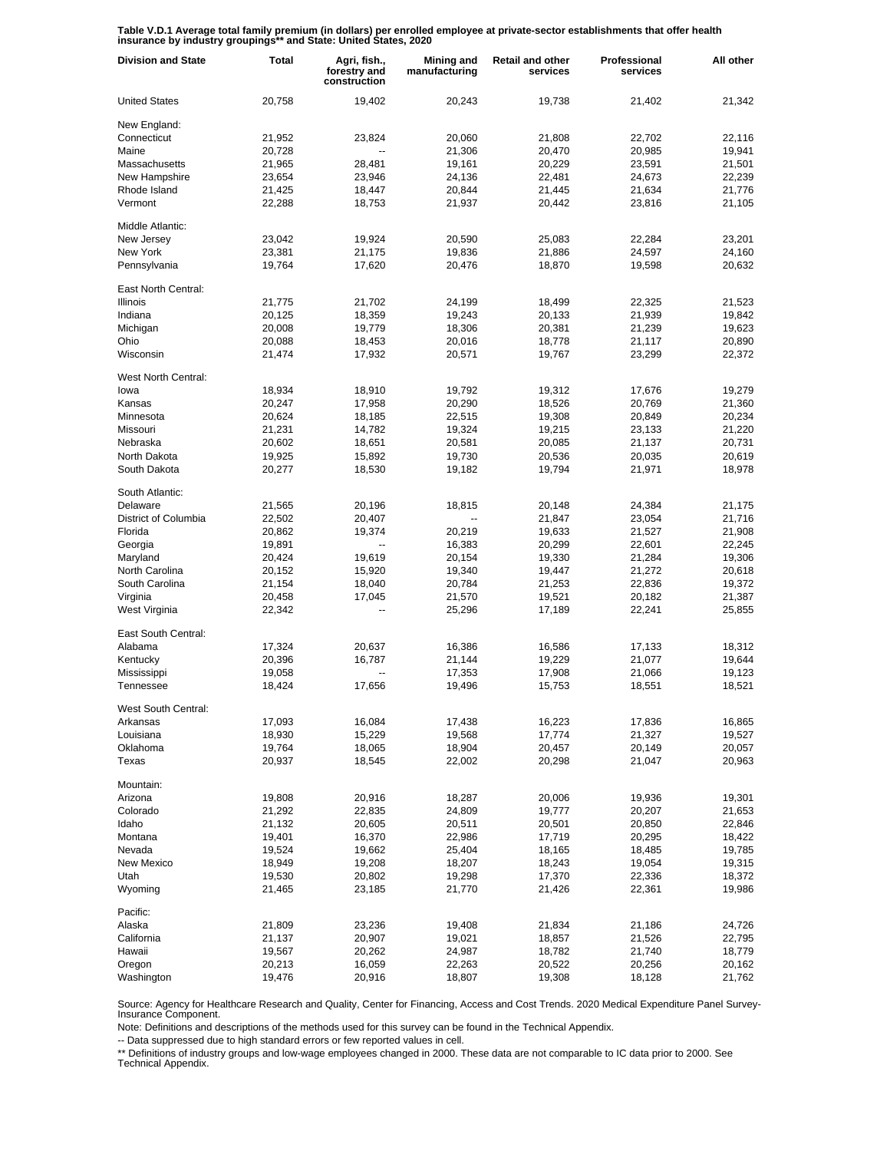**Table V.D.1 Average total family premium (in dollars) per enrolled employee at private-sector establishments that offer health insurance by industry groupings\*\* and State: United States, 2020**

| <b>Division and State</b> | Total  | Agri, fish.,<br>forestry and<br>construction | Mining and<br>manufacturing | <b>Retail and other</b><br>services | Professional<br>services | All other |
|---------------------------|--------|----------------------------------------------|-----------------------------|-------------------------------------|--------------------------|-----------|
| <b>United States</b>      | 20,758 | 19.402                                       | 20,243                      | 19,738                              | 21,402                   | 21,342    |
| New England:              |        |                                              |                             |                                     |                          |           |
| Connecticut               | 21,952 | 23,824                                       | 20,060                      | 21,808                              | 22,702                   | 22,116    |
| Maine                     | 20,728 |                                              | 21,306                      | 20,470                              | 20,985                   | 19,941    |
| Massachusetts             | 21,965 | 28,481                                       | 19,161                      | 20,229                              | 23,591                   | 21,501    |
| New Hampshire             | 23,654 | 23,946                                       | 24,136                      | 22,481                              | 24,673                   | 22,239    |
| Rhode Island              | 21,425 | 18,447                                       | 20,844                      | 21,445                              | 21,634                   | 21,776    |
| Vermont                   | 22,288 | 18,753                                       | 21,937                      | 20,442                              | 23,816                   | 21,105    |
| Middle Atlantic:          |        |                                              |                             |                                     |                          |           |
| New Jersey                | 23,042 | 19,924                                       | 20,590                      | 25,083                              | 22,284                   | 23,201    |
| New York                  | 23,381 | 21,175                                       | 19,836                      | 21,886                              | 24,597                   | 24,160    |
| Pennsylvania              | 19,764 | 17,620                                       | 20,476                      | 18,870                              | 19,598                   | 20,632    |
| East North Central:       |        |                                              |                             |                                     |                          |           |
| <b>Illinois</b>           | 21,775 | 21,702                                       | 24,199                      | 18,499                              | 22,325                   | 21,523    |
| Indiana                   | 20,125 | 18,359                                       | 19,243                      | 20,133                              | 21,939                   | 19,842    |
| Michigan                  | 20,008 | 19,779                                       | 18,306                      | 20,381                              | 21,239                   | 19,623    |
| Ohio                      | 20,088 | 18,453                                       | 20,016                      | 18,778                              | 21,117                   | 20,890    |
| Wisconsin                 | 21,474 | 17,932                                       | 20,571                      | 19,767                              | 23,299                   | 22,372    |
| West North Central:       |        |                                              |                             |                                     |                          |           |
| lowa                      | 18,934 | 18,910                                       | 19,792                      | 19,312                              | 17,676                   | 19,279    |
| Kansas                    | 20,247 | 17,958                                       | 20,290                      | 18,526                              | 20,769                   | 21,360    |
| Minnesota                 | 20,624 | 18,185                                       | 22,515                      | 19,308                              | 20,849                   | 20,234    |
| Missouri                  | 21,231 | 14,782                                       | 19,324                      | 19,215                              | 23,133                   | 21,220    |
| Nebraska                  | 20,602 | 18,651                                       | 20,581                      | 20,085                              | 21,137                   | 20,731    |
| North Dakota              | 19,925 | 15,892                                       | 19,730                      | 20,536                              | 20,035                   | 20,619    |
| South Dakota              | 20,277 | 18,530                                       | 19,182                      | 19,794                              | 21,971                   | 18,978    |
| South Atlantic:           |        |                                              |                             |                                     |                          |           |
| Delaware                  | 21,565 | 20,196                                       | 18,815                      | 20,148                              | 24,384                   | 21,175    |
| District of Columbia      | 22,502 | 20,407                                       |                             | 21,847                              | 23,054                   | 21,716    |
| Florida                   | 20,862 | 19,374                                       | 20,219                      | 19,633                              | 21,527                   | 21,908    |
| Georgia                   | 19,891 | --                                           | 16,383                      | 20,299                              | 22,601                   | 22,245    |
| Maryland                  | 20,424 | 19,619                                       | 20,154                      | 19,330                              | 21,284                   | 19,306    |
| North Carolina            | 20,152 | 15,920                                       | 19,340                      | 19,447                              | 21,272                   | 20,618    |
| South Carolina            | 21,154 | 18,040                                       | 20,784                      | 21,253                              | 22,836                   | 19,372    |
| Virginia                  | 20,458 | 17,045                                       | 21,570                      | 19,521                              | 20,182                   | 21,387    |
| West Virginia             | 22,342 | --                                           | 25,296                      | 17,189                              | 22,241                   | 25,855    |
| East South Central:       |        |                                              |                             |                                     |                          |           |
| Alabama                   | 17,324 | 20,637                                       | 16,386                      | 16,586                              | 17,133                   | 18,312    |
| Kentucky                  | 20,396 | 16,787                                       | 21,144                      | 19,229                              | 21,077                   | 19,644    |
| Mississippi               | 19,058 |                                              | 17,353                      | 17,908                              | 21,066                   | 19,123    |
| Tennessee                 | 18,424 | 17,656                                       | 19,496                      | 15,753                              | 18,551                   | 18,521    |
| West South Central:       |        |                                              |                             |                                     |                          |           |
| Arkansas                  | 17,093 | 16,084                                       | 17,438                      | 16,223                              | 17,836                   | 16,865    |
| Louisiana                 | 18,930 | 15,229                                       | 19,568                      | 17,774                              | 21,327                   | 19,527    |
| Oklahoma                  | 19,764 | 18,065                                       | 18,904                      | 20,457                              | 20,149                   | 20,057    |
| Texas                     | 20,937 | 18,545                                       | 22,002                      | 20,298                              | 21,047                   | 20,963    |
| Mountain:                 |        |                                              |                             |                                     |                          |           |
| Arizona                   | 19,808 | 20,916                                       | 18,287                      | 20,006                              | 19,936                   | 19,301    |
| Colorado                  | 21,292 | 22,835                                       | 24,809                      | 19,777                              | 20,207                   | 21,653    |
| Idaho                     | 21,132 | 20,605                                       | 20,511                      | 20,501                              | 20,850                   | 22,846    |
| Montana                   | 19,401 | 16,370                                       | 22,986                      | 17,719                              | 20,295                   | 18,422    |
| Nevada                    | 19,524 | 19,662                                       | 25,404                      | 18,165                              | 18,485                   | 19,785    |
| New Mexico                | 18,949 | 19,208                                       | 18,207                      | 18,243                              | 19,054                   | 19,315    |
| Utah                      | 19,530 | 20,802                                       | 19,298                      | 17,370                              | 22,336                   | 18,372    |
| Wyoming                   | 21,465 | 23,185                                       | 21,770                      | 21,426                              | 22,361                   | 19,986    |
| Pacific:                  |        |                                              |                             |                                     |                          |           |
| Alaska                    | 21,809 | 23,236                                       | 19,408                      | 21,834                              | 21,186                   | 24,726    |
| California                | 21,137 | 20,907                                       | 19,021                      | 18,857                              | 21,526                   | 22,795    |
| Hawaii                    | 19,567 | 20,262                                       | 24,987                      | 18,782                              | 21,740                   | 18,779    |
| Oregon                    | 20,213 | 16,059                                       | 22,263                      | 20,522                              | 20,256                   | 20,162    |
| Washington                | 19,476 | 20,916                                       | 18,807                      | 19,308                              | 18,128                   | 21,762    |

Source: Agency for Healthcare Research and Quality, Center for Financing, Access and Cost Trends. 2020 Medical Expenditure Panel Survey-Insurance Component.

Note: Definitions and descriptions of the methods used for this survey can be found in the Technical Appendix.

-- Data suppressed due to high standard errors or few reported values in cell.

\*\* Definitions of industry groups and low-wage employees changed in 2000. These data are not comparable to IC data prior to 2000. See Technical Appendix.